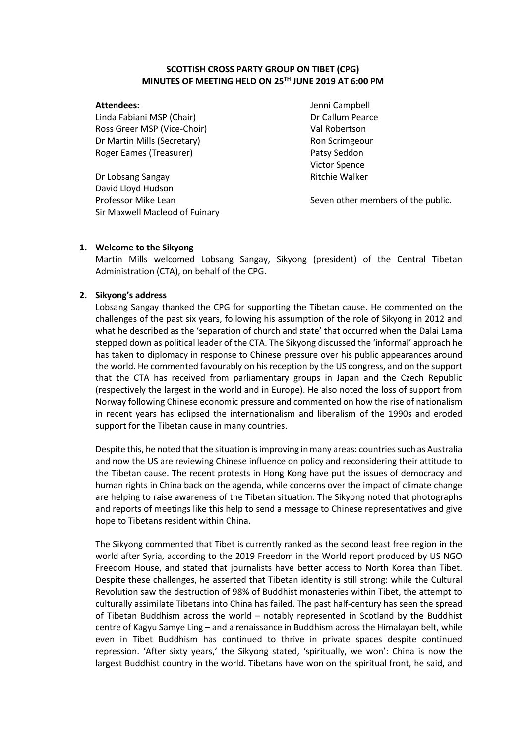# **SCOTTISH CROSS PARTY GROUP ON TIBET (CPG) MINUTES OF MEETING HELD ON 25TH JUNE 2019 AT 6:00 PM**

#### **Attendees:**

Linda Fabiani MSP (Chair) Ross Greer MSP (Vice-Choir) Dr Martin Mills (Secretary) Roger Eames (Treasurer)

Dr Lobsang Sangay David Lloyd Hudson Professor Mike Lean Sir Maxwell Macleod of Fuinary Jenni Campbell Dr Callum Pearce Val Robertson Ron Scrimgeour Patsy Seddon Victor Spence Ritchie Walker

Seven other members of the public.

# **1. Welcome to the Sikyong**

Martin Mills welcomed Lobsang Sangay, Sikyong (president) of the Central Tibetan Administration (CTA), on behalf of the CPG.

# **2. Sikyong's address**

Lobsang Sangay thanked the CPG for supporting the Tibetan cause. He commented on the challenges of the past six years, following his assumption of the role of Sikyong in 2012 and what he described as the 'separation of church and state' that occurred when the Dalai Lama stepped down as political leader of the CTA. The Sikyong discussed the 'informal' approach he has taken to diplomacy in response to Chinese pressure over his public appearances around the world. He commented favourably on his reception by the US congress, and on the support that the CTA has received from parliamentary groups in Japan and the Czech Republic (respectively the largest in the world and in Europe). He also noted the loss of support from Norway following Chinese economic pressure and commented on how the rise of nationalism in recent years has eclipsed the internationalism and liberalism of the 1990s and eroded support for the Tibetan cause in many countries.

Despite this, he noted that the situation is improving in many areas: countries such as Australia and now the US are reviewing Chinese influence on policy and reconsidering their attitude to the Tibetan cause. The recent protests in Hong Kong have put the issues of democracy and human rights in China back on the agenda, while concerns over the impact of climate change are helping to raise awareness of the Tibetan situation. The Sikyong noted that photographs and reports of meetings like this help to send a message to Chinese representatives and give hope to Tibetans resident within China.

The Sikyong commented that Tibet is currently ranked as the second least free region in the world after Syria, according to the 2019 Freedom in the World report produced by US NGO Freedom House, and stated that journalists have better access to North Korea than Tibet. Despite these challenges, he asserted that Tibetan identity is still strong: while the Cultural Revolution saw the destruction of 98% of Buddhist monasteries within Tibet, the attempt to culturally assimilate Tibetans into China has failed. The past half-century has seen the spread of Tibetan Buddhism across the world – notably represented in Scotland by the Buddhist centre of Kagyu Samye Ling – and a renaissance in Buddhism across the Himalayan belt, while even in Tibet Buddhism has continued to thrive in private spaces despite continued repression. 'After sixty years,' the Sikyong stated, 'spiritually, we won': China is now the largest Buddhist country in the world. Tibetans have won on the spiritual front, he said, and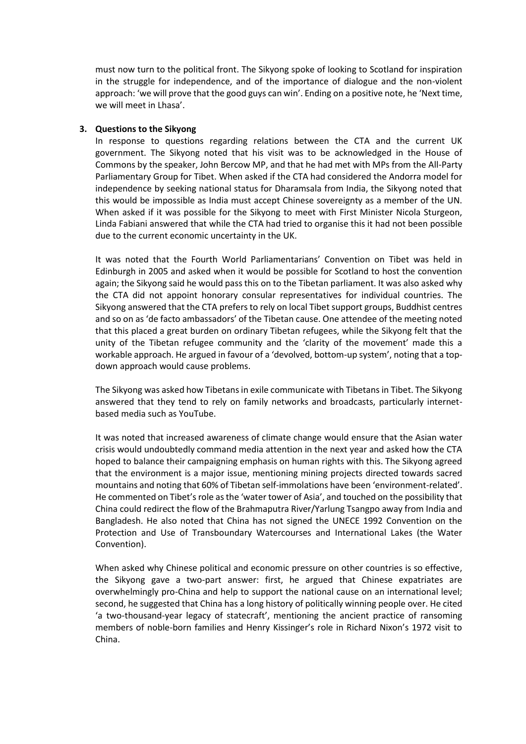must now turn to the political front. The Sikyong spoke of looking to Scotland for inspiration in the struggle for independence, and of the importance of dialogue and the non-violent approach: 'we will prove that the good guys can win'. Ending on a positive note, he 'Next time, we will meet in Lhasa'.

#### **3. Questions to the Sikyong**

In response to questions regarding relations between the CTA and the current UK government. The Sikyong noted that his visit was to be acknowledged in the House of Commons by the speaker, John Bercow MP, and that he had met with MPs from the All-Party Parliamentary Group for Tibet. When asked if the CTA had considered the Andorra model for independence by seeking national status for Dharamsala from India, the Sikyong noted that this would be impossible as India must accept Chinese sovereignty as a member of the UN. When asked if it was possible for the Sikyong to meet with First Minister Nicola Sturgeon, Linda Fabiani answered that while the CTA had tried to organise this it had not been possible due to the current economic uncertainty in the UK.

It was noted that the Fourth World Parliamentarians' Convention on Tibet was held in Edinburgh in 2005 and asked when it would be possible for Scotland to host the convention again; the Sikyong said he would pass this on to the Tibetan parliament. It was also asked why the CTA did not appoint honorary consular representatives for individual countries. The Sikyong answered that the CTA prefers to rely on local Tibet support groups, Buddhist centres and so on as 'de facto ambassadors' of the Tibetan cause. One attendee of the meeting noted that this placed a great burden on ordinary Tibetan refugees, while the Sikyong felt that the unity of the Tibetan refugee community and the 'clarity of the movement' made this a workable approach. He argued in favour of a 'devolved, bottom-up system', noting that a topdown approach would cause problems.

The Sikyong was asked how Tibetans in exile communicate with Tibetans in Tibet. The Sikyong answered that they tend to rely on family networks and broadcasts, particularly internetbased media such as YouTube.

It was noted that increased awareness of climate change would ensure that the Asian water crisis would undoubtedly command media attention in the next year and asked how the CTA hoped to balance their campaigning emphasis on human rights with this. The Sikyong agreed that the environment is a major issue, mentioning mining projects directed towards sacred mountains and noting that 60% of Tibetan self-immolations have been 'environment-related'. He commented on Tibet's role as the 'water tower of Asia', and touched on the possibility that China could redirect the flow of the Brahmaputra River/Yarlung Tsangpo away from India and Bangladesh. He also noted that China has not signed the UNECE 1992 Convention on the Protection and Use of Transboundary Watercourses and International Lakes (the Water Convention).

When asked why Chinese political and economic pressure on other countries is so effective, the Sikyong gave a two-part answer: first, he argued that Chinese expatriates are overwhelmingly pro-China and help to support the national cause on an international level; second, he suggested that China has a long history of politically winning people over. He cited 'a two-thousand-year legacy of statecraft', mentioning the ancient practice of ransoming members of noble-born families and Henry Kissinger's role in Richard Nixon's 1972 visit to China.